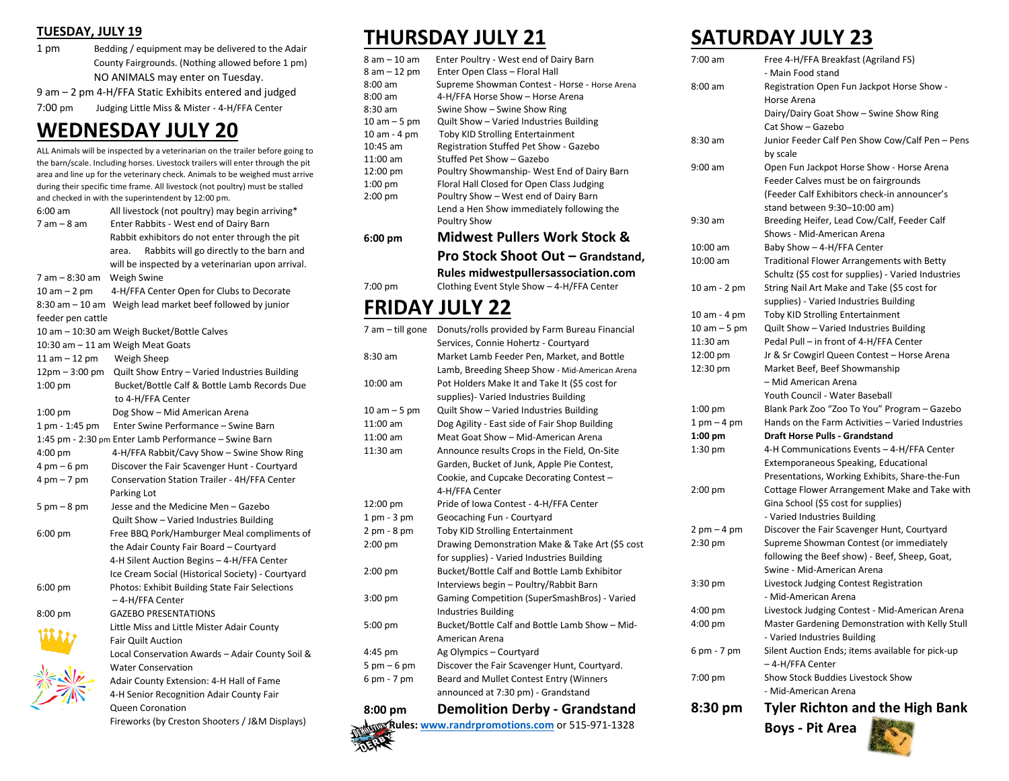#### **TUESDAY, JULY 19**

1 pm Bedding / equipment may be delivered to the Adair County Fairgrounds. (Nothing allowed before 1 pm) NO ANIMALS may enter on Tuesday.

9 am – 2 pm 4-H/FFA Static Exhibits entered and judged

7:00 pm Judging Little Miss & Mister - 4-H/FFA Center

### **WEDNESDAY JULY 20**

ALL Animals will be inspected by a veterinarian on the trailer before going to the barn/scale. Including horses. Livestock trailers will enter through the pit area and line up for the veterinary check. Animals to be weighed must arrive during their specific time frame. All livestock (not poultry) must be stalled and checked in with the superintendent by 12:00 pm. 6:00 am All livestock (not poultry) may begin arriving\* 7 am – 8 am Enter Rabbits - West end of Dairy Barn Rabbit exhibitors do not enter through the pit area. Rabbits will go directly to the barn and

will be inspected by a veterinarian upon arrival.

7 am – 8:30 am Weigh Swine

10 am – 2 pm 4-H/FFA Center Open for Clubs to Decorate 8:30 am – 10 am Weigh lead market beef followed by junior feeder pen cattle 10 am – 10:30 am Weigh Bucket/Bottle Calves 10:30 am – 11 am Weigh Meat Goats 11 am – 12 pm Weigh Sheep 12pm – 3:00 pm Quilt Show Entry – Varied Industries Building 1:00 pm Bucket/Bottle Calf & Bottle Lamb Records Due to 4-H/FFA Center 1:00 pm Dog Show – Mid American Arena 1 pm - 1:45 pm Enter Swine Performance – Swine Barn 1:45 pm - 2:30 pm Enter Lamb Performance – Swine Barn 4:00 pm 4-H/FFA Rabbit/Cavy Show – Swine Show Ring 4 pm – 6 pm Discover the Fair Scavenger Hunt - Courtyard 4 pm – 7 pm Conservation Station Trailer - 4H/FFA Center

 Parking Lot 5 pm – 8 pm Jesse and the Medicine Men – Gazebo Quilt Show – Varied Industries Building 6:00 pm Free BBQ Pork/Hamburger Meal compliments of the Adair County Fair Board – Courtyard 4-H Silent Auction Begins – 4-H/FFA Center Ice Cream Social (Historical Society) - Courtyard 6:00 pm Photos: Exhibit Building State Fair Selections – 4-H/FFA Center 8:00 pm GAZEBO PRESENTATIONS Little Miss and Little Mister Adair County Fair Quilt Auction Local Conservation Awards – Adair County Soil & Water Conservation Adair County Extension: 4-H Hall of Fame

### 4-H Senior Recognition Adair County Fair Queen Coronation Fireworks (by Creston Shooters / J&M Displays)

### **THURSDAY JULY 21**

| $8 am - 10 am$    | Enter Poultry - West end of Dairy Barn        |
|-------------------|-----------------------------------------------|
| $8 am - 12 pm$    | Enter Open Class - Floral Hall                |
| $8:00 \text{ am}$ | Supreme Showman Contest - Horse - Horse Arena |
| $8:00 \text{ am}$ | 4-H/FFA Horse Show - Horse Arena              |
| $8:30$ am         | Swine Show - Swine Show Ring                  |
| $10 am - 5 pm$    | Quilt Show - Varied Industries Building       |
| 10 am - 4 pm      | <b>Toby KID Strolling Entertainment</b>       |
| 10:45 am          | Registration Stuffed Pet Show - Gazebo        |
| $11:00$ am        | Stuffed Pet Show - Gazebo                     |
| 12:00 pm          | Poultry Showmanship-West End of Dairy Barn    |
| $1:00$ pm         | Floral Hall Closed for Open Class Judging     |
| $2:00$ pm         | Poultry Show - West end of Dairy Barn         |
|                   | Lend a Hen Show immediately following the     |
|                   | <b>Poultry Show</b>                           |
| $6:00 \text{ pm}$ | <b>Midwest Pullers Work Stock &amp;</b>       |
|                   | Pro Stock Shoot Out - Grandstand,             |
|                   | Rules midwestpullersassociation.com           |
| 7:00 pm           | Clothing Event Style Show - 4-H/FFA Center    |
|                   |                                               |

# **FRIDAY JULY 22**

| 7 am - till gone              | Donuts/rolls provided by Farm Bureau Financial  |
|-------------------------------|-------------------------------------------------|
|                               | Services, Connie Hohertz - Courtyard            |
| $8:30$ am                     | Market Lamb Feeder Pen, Market, and Bottle      |
|                               | Lamb, Breeding Sheep Show - Mid-American Arena  |
| 10:00 am                      | Pot Holders Make It and Take It (\$5 cost for   |
|                               | supplies)- Varied Industries Building           |
| $10 am - 5 pm$                | Quilt Show - Varied Industries Building         |
| $11:00$ am                    | Dog Agility - East side of Fair Shop Building   |
| 11:00 am                      | Meat Goat Show - Mid-American Arena             |
| $11:30$ am                    | Announce results Crops in the Field, On-Site    |
|                               | Garden, Bucket of Junk, Apple Pie Contest,      |
|                               | Cookie, and Cupcake Decorating Contest -        |
|                               | 4-H/FFA Center                                  |
| 12:00 pm                      | Pride of Iowa Contest - 4-H/FFA Center          |
| $1$ pm $-3$ pm                | Geocaching Fun - Courtyard                      |
| $2 pm - 8 pm$                 | <b>Toby KID Strolling Entertainment</b>         |
| $2:00$ pm                     | Drawing Demonstration Make & Take Art (\$5 cost |
|                               | for supplies) - Varied Industries Building      |
| $2:00$ pm                     | Bucket/Bottle Calf and Bottle Lamb Exhibitor    |
|                               | Interviews begin - Poultry/Rabbit Barn          |
| $3:00$ pm                     | Gaming Competition (SuperSmashBros) - Varied    |
|                               | <b>Industries Building</b>                      |
| 5:00 pm                       | Bucket/Bottle Calf and Bottle Lamb Show - Mid-  |
|                               | American Arena                                  |
| 4:45 pm                       | Ag Olympics - Courtyard                         |
| $5 \text{ pm} - 6 \text{ pm}$ | Discover the Fair Scavenger Hunt, Courtyard.    |
| 6 pm - 7 pm                   | Beard and Mullet Contest Entry (Winners         |
|                               | announced at 7:30 pm) - Grandstand              |
|                               |                                                 |

## **8:00 pm Demolition Derby - Grandstand Rules[: www.randrpromotions.com](http://www.randrpromotions.com/)** or 515-971-1328

### **SATURDAY JULY 23**

| 7:00 am                       | Free 4-H/FFA Breakfast (Agriland FS)<br>- Main Food stand                            |
|-------------------------------|--------------------------------------------------------------------------------------|
| 8:00 am                       |                                                                                      |
|                               | Registration Open Fun Jackpot Horse Show -                                           |
|                               | Horse Arena                                                                          |
|                               | Dairy/Dairy Goat Show - Swine Show Ring<br>Cat Show - Gazebo                         |
| $8:30$ am                     | Junior Feeder Calf Pen Show Cow/Calf Pen - Pens                                      |
|                               |                                                                                      |
| $9:00$ am                     | by scale                                                                             |
|                               | Open Fun Jackpot Horse Show - Horse Arena                                            |
|                               | Feeder Calves must be on fairgrounds<br>(Feeder Calf Exhibitors check-in announcer's |
|                               |                                                                                      |
| 9:30 am                       | stand between 9:30-10:00 am)                                                         |
|                               | Breeding Heifer, Lead Cow/Calf, Feeder Calf<br>Shows - Mid-American Arena            |
| 10:00 am                      | Baby Show - 4-H/FFA Center                                                           |
| 10:00 am                      | <b>Traditional Flower Arrangements with Betty</b>                                    |
|                               | Schultz (\$5 cost for supplies) - Varied Industries                                  |
|                               | String Nail Art Make and Take (\$5 cost for                                          |
| 10 am - 2 pm                  | supplies) - Varied Industries Building                                               |
| 10 am - 4 pm                  | Toby KID Strolling Entertainment                                                     |
| 10 am – 5 pm                  | Quilt Show - Varied Industries Building                                              |
| 11:30 am                      | Pedal Pull - in front of 4-H/FFA Center                                              |
| 12:00 pm                      | Jr & Sr Cowgirl Queen Contest - Horse Arena                                          |
| 12:30 pm                      | Market Beef, Beef Showmanship                                                        |
|                               | - Mid American Arena                                                                 |
|                               | Youth Council - Water Baseball                                                       |
| 1:00 pm                       | Blank Park Zoo "Zoo To You" Program - Gazebo                                         |
| $1$ pm $-4$ pm                | Hands on the Farm Activities - Varied Industries                                     |
| $1:00$ pm                     | <b>Draft Horse Pulls - Grandstand</b>                                                |
| 1:30 pm                       | 4-H Communications Events – 4-H/FFA Center                                           |
|                               | Extemporaneous Speaking, Educational                                                 |
|                               | Presentations, Working Exhibits, Share-the-Fun                                       |
| $2:00$ pm                     | Cottage Flower Arrangement Make and Take with                                        |
|                               | Gina School (\$5 cost for supplies)                                                  |
|                               | - Varied Industries Building                                                         |
| $2 \text{ pm} - 4 \text{ pm}$ | Discover the Fair Scavenger Hunt, Courtyard                                          |
| $2:30$ pm                     | Supreme Showman Contest (or immediately                                              |
|                               | following the Beef show) - Beef, Sheep, Goat,                                        |
|                               | Swine - Mid-American Arena                                                           |
| 3:30 pm                       | Livestock Judging Contest Registration                                               |
|                               | - Mid-American Arena                                                                 |
| $4:00$ pm                     | Livestock Judging Contest - Mid-American Arena                                       |
| 4:00 pm                       | Master Gardening Demonstration with Kelly Stull                                      |
|                               | - Varied Industries Building                                                         |
| 6 pm - 7 pm                   | Silent Auction Ends; items available for pick-up                                     |
|                               | – 4-H/FFA Center                                                                     |
| 7:00 pm                       | Show Stock Buddies Livestock Show                                                    |
|                               | - Mid-American Arena                                                                 |
| 8:30 pm                       | <b>Tyler Richton and the High Bank</b>                                               |

**Boys - Pit Area**